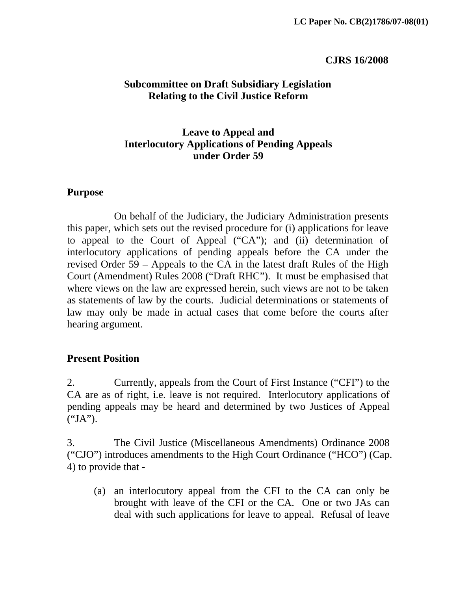#### **CJRS 16/2008**

### **Subcommittee on Draft Subsidiary Legislation Relating to the Civil Justice Reform**

### **Leave to Appeal and Interlocutory Applications of Pending Appeals under Order 59**

#### **Purpose**

 On behalf of the Judiciary, the Judiciary Administration presents this paper, which sets out the revised procedure for (i) applications for leave to appeal to the Court of Appeal ("CA"); and (ii) determination of interlocutory applications of pending appeals before the CA under the revised Order 59 – Appeals to the CA in the latest draft Rules of the High Court (Amendment) Rules 2008 ("Draft RHC"). It must be emphasised that where views on the law are expressed herein, such views are not to be taken as statements of law by the courts. Judicial determinations or statements of law may only be made in actual cases that come before the courts after hearing argument.

### **Present Position**

2. Currently, appeals from the Court of First Instance ("CFI") to the CA are as of right, i.e. leave is not required. Interlocutory applications of pending appeals may be heard and determined by two Justices of Appeal ("JA").

3. The Civil Justice (Miscellaneous Amendments) Ordinance 2008 ("CJO") introduces amendments to the High Court Ordinance ("HCO") (Cap. 4) to provide that -

(a) an interlocutory appeal from the CFI to the CA can only be brought with leave of the CFI or the CA. One or two JAs can deal with such applications for leave to appeal. Refusal of leave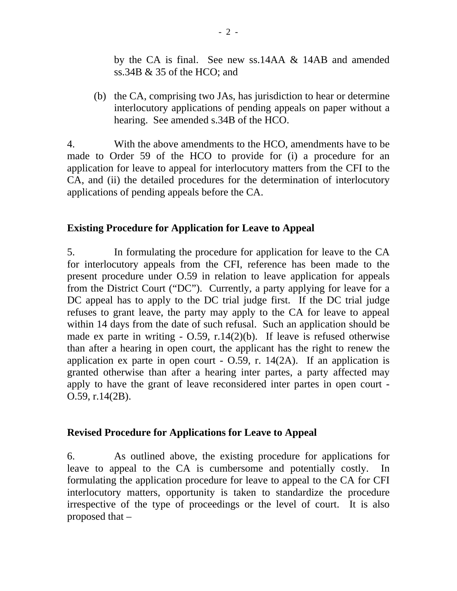by the CA is final. See new ss.14AA & 14AB and amended ss.34B & 35 of the HCO; and

 (b) the CA, comprising two JAs, has jurisdiction to hear or determine interlocutory applications of pending appeals on paper without a hearing. See amended s.34B of the HCO.

4. With the above amendments to the HCO, amendments have to be made to Order 59 of the HCO to provide for (i) a procedure for an application for leave to appeal for interlocutory matters from the CFI to the CA, and (ii) the detailed procedures for the determination of interlocutory applications of pending appeals before the CA.

### **Existing Procedure for Application for Leave to Appeal**

5. In formulating the procedure for application for leave to the CA for interlocutory appeals from the CFI, reference has been made to the present procedure under O.59 in relation to leave application for appeals from the District Court ("DC"). Currently, a party applying for leave for a DC appeal has to apply to the DC trial judge first. If the DC trial judge refuses to grant leave, the party may apply to the CA for leave to appeal within 14 days from the date of such refusal. Such an application should be made ex parte in writing  $-$  O.59, r.14(2)(b). If leave is refused otherwise than after a hearing in open court, the applicant has the right to renew the application ex parte in open court  $-$  O.59, r. 14(2A). If an application is granted otherwise than after a hearing inter partes, a party affected may apply to have the grant of leave reconsidered inter partes in open court - O.59, r.14(2B).

# **Revised Procedure for Applications for Leave to Appeal**

6. As outlined above, the existing procedure for applications for leave to appeal to the CA is cumbersome and potentially costly. formulating the application procedure for leave to appeal to the CA for CFI interlocutory matters, opportunity is taken to standardize the procedure irrespective of the type of proceedings or the level of court. It is also proposed that –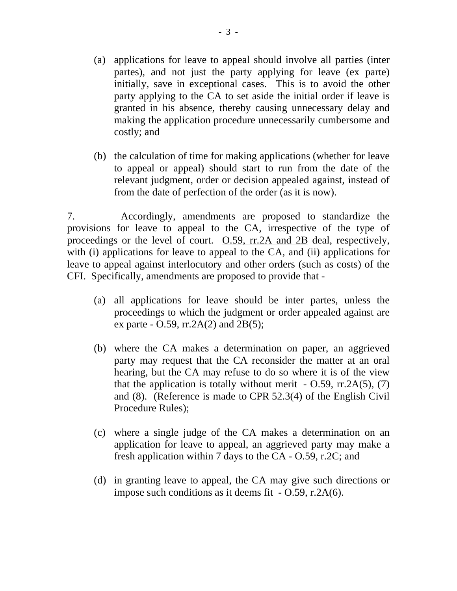- (a) applications for leave to appeal should involve all parties (inter partes), and not just the party applying for leave (ex parte) initially, save in exceptional cases. This is to avoid the other party applying to the CA to set aside the initial order if leave is granted in his absence, thereby causing unnecessary delay and making the application procedure unnecessarily cumbersome and costly; and
- (b) the calculation of time for making applications (whether for leave to appeal or appeal) should start to run from the date of the relevant judgment, order or decision appealed against, instead of from the date of perfection of the order (as it is now).

7. Accordingly, amendments are proposed to standardize the provisions for leave to appeal to the CA, irrespective of the type of proceedings or the level of court. O.59, rr.2A and 2B deal, respectively, with (i) applications for leave to appeal to the CA, and (ii) applications for leave to appeal against interlocutory and other orders (such as costs) of the CFI. Specifically, amendments are proposed to provide that -

- (a) all applications for leave should be inter partes, unless the proceedings to which the judgment or order appealed against are ex parte -  $0.59$ , rr.2A(2) and 2B(5);
- (b) where the CA makes a determination on paper, an aggrieved party may request that the CA reconsider the matter at an oral hearing, but the CA may refuse to do so where it is of the view that the application is totally without merit  $-$  O.59, rr.2A(5), (7) and (8). (Reference is made to CPR 52.3(4) of the English Civil Procedure Rules);
- (c) where a single judge of the CA makes a determination on an application for leave to appeal, an aggrieved party may make a fresh application within 7 days to the CA - O.59, r.2C; and
- (d) in granting leave to appeal, the CA may give such directions or impose such conditions as it deems fit - O.59, r.2A(6).